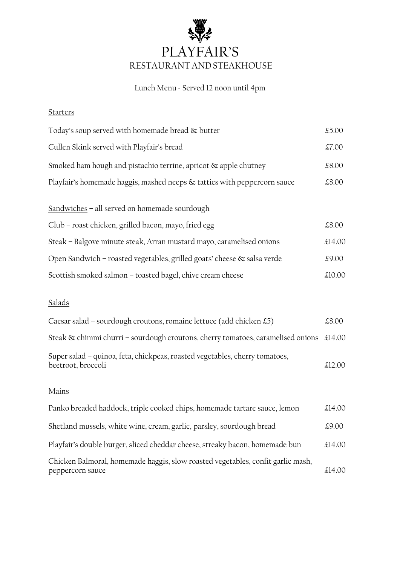

# Lunch Menu - Served 12 noon until 4pm

#### **Starters**

| Today's soup served with homemade bread & butter                                                      | £5.00  |
|-------------------------------------------------------------------------------------------------------|--------|
| Cullen Skink served with Playfair's bread                                                             | £7.00  |
| Smoked ham hough and pistachio terrine, apricot & apple chutney                                       | £8.00  |
| Playfair's homemade haggis, mashed neeps & tatties with peppercorn sauce                              | £8.00  |
| Sandwiches - all served on homemade sourdough<br>Club – roast chicken, grilled bacon, mayo, fried egg | £8.00  |
| Steak - Balgove minute steak, Arran mustard mayo, caramelised onions                                  | £14.00 |
| Open Sandwich – roasted vegetables, grilled goats' cheese & salsa verde                               | £9.00  |
| Scottish smoked salmon – toasted bagel, chive cream cheese                                            | £10.00 |
|                                                                                                       |        |

# Salads

| Caesar salad - sourdough croutons, romaine lettuce (add chicken £5)                               | £8.00  |
|---------------------------------------------------------------------------------------------------|--------|
| Steak & chimmi churri - sourdough croutons, cherry tomatoes, caramelised onions £14.00            |        |
| Super salad - quinoa, feta, chickpeas, roasted vegetables, cherry tomatoes,<br>beetroot, broccoli | £12.00 |

## Mains

| Panko breaded haddock, triple cooked chips, homemade tartare sauce, lemon                           | £14.00 |
|-----------------------------------------------------------------------------------------------------|--------|
| Shetland mussels, white wine, cream, garlic, parsley, sourdough bread                               | £9.00  |
| Playfair's double burger, sliced cheddar cheese, streaky bacon, homemade bun                        | £14.00 |
| Chicken Balmoral, homemade haggis, slow roasted vegetables, confit garlic mash,<br>peppercorn sauce | £14.00 |